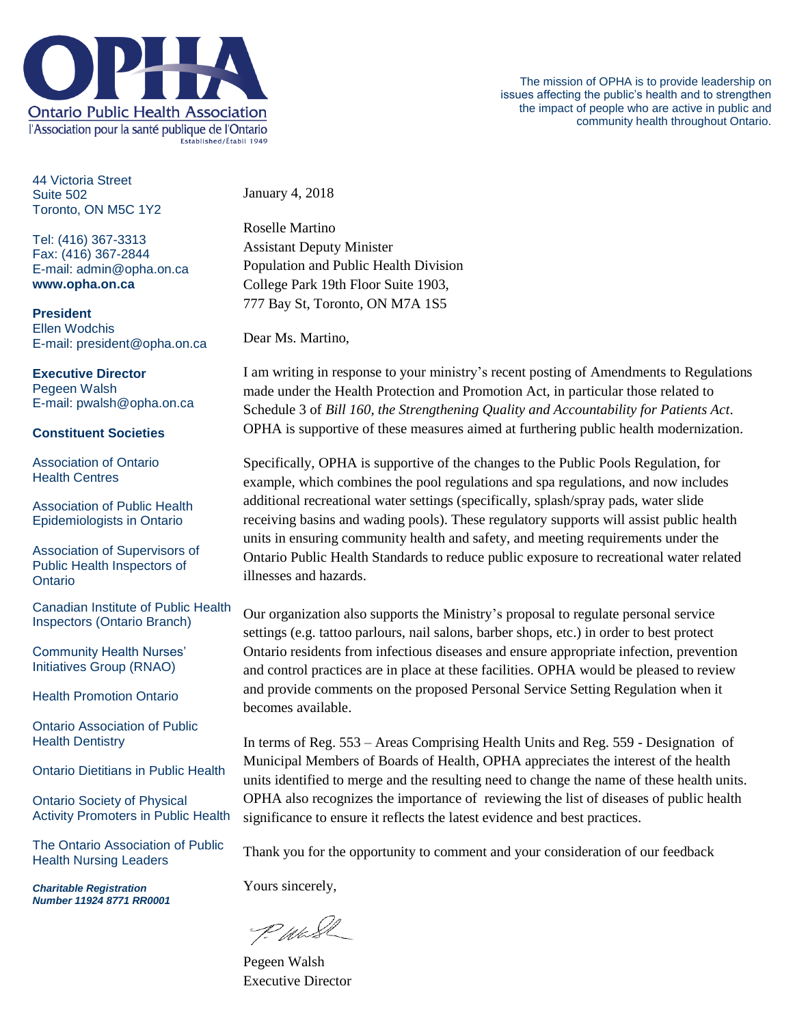

44 Victoria Street Suite 502 Toronto, ON M5C 1Y2

Tel: (416) 367-3313 Fax: (416) 367-2844 E-mail: admin@opha.on.ca **www.opha.on.ca**

**President** Ellen Wodchis E-mail: president@opha.on.ca

## **Executive Director** Pegeen Walsh

E-mail: pwalsh@opha.on.ca

## **Constituent Societies**

Association of Ontario Health Centres

Association of Public Health Epidemiologists in Ontario

Association of Supervisors of Public Health Inspectors of **Ontario** 

Canadian Institute of Public Health Inspectors (Ontario Branch)

Community Health Nurses' Initiatives Group (RNAO)

Health Promotion Ontario

Ontario Association of Public Health Dentistry

Ontario Dietitians in Public Health

Ontario Society of Physical Activity Promoters in Public Health

The Ontario Association of Public Health Nursing Leaders

*Charitable Registration Number 11924 8771 RR0001* January 4, 2018

Roselle Martino Assistant Deputy Minister Population and Public Health Division College Park 19th Floor Suite 1903, 777 Bay St, Toronto, ON M7A 1S5

Dear Ms. Martino,

I am writing in response to your ministry's recent posting of Amendments to Regulations made under the Health Protection and Promotion Act, in particular those related to Schedule 3 of *Bill 160, the Strengthening Quality and Accountability for Patients Act*. OPHA is supportive of these measures aimed at furthering public health modernization.

Specifically, OPHA is supportive of the changes to the Public Pools Regulation, for example, which combines the pool regulations and spa regulations, and now includes additional recreational water settings (specifically, splash/spray pads, water slide receiving basins and wading pools). These regulatory supports will assist public health units in ensuring community health and safety, and meeting requirements under the Ontario Public Health Standards to reduce public exposure to recreational water related illnesses and hazards.

Our organization also supports the Ministry's proposal to regulate personal service settings (e.g. tattoo parlours, nail salons, barber shops, etc.) in order to best protect Ontario residents from infectious diseases and ensure appropriate infection, prevention and control practices are in place at these facilities. OPHA would be pleased to review and provide comments on the proposed Personal Service Setting Regulation when it becomes available.

In terms of Reg. 553 – Areas Comprising Health Units and Reg. 559 - Designation of Municipal Members of Boards of Health, OPHA appreciates the interest of the health units identified to merge and the resulting need to change the name of these health units. OPHA also recognizes the importance of reviewing the list of diseases of public health significance to ensure it reflects the latest evidence and best practices.

Thank you for the opportunity to comment and your consideration of our feedback

Yours sincerely,

P. Was

Pegeen Walsh Executive Director